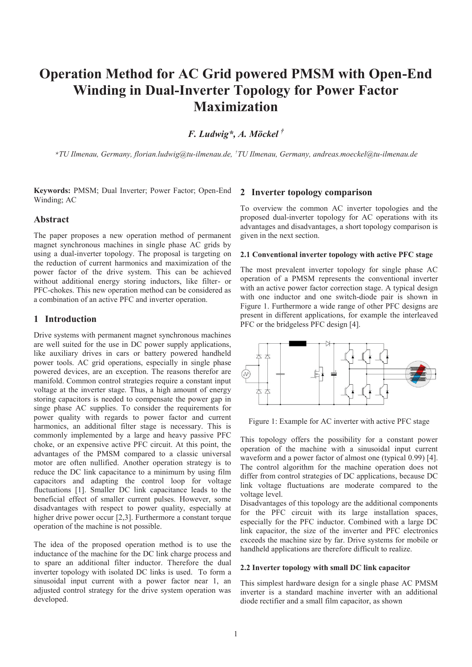# **Operation Method for AC Grid powered PMSM with Open-End Winding in Dual-Inverter Topology for Power Factor Maximization**

*F. Ludwig\*, A. Möckel †*

*\*TU Ilmenau, Germany, florian.ludwig@tu-ilmenau.de, † TU Ilmenau, Germany, andreas.moeckel@tu-ilmenau.de*

**Keywords:** PMSM; Dual Inverter; Power Factor; Open-End Winding; AC

### **Abstract**

The paper proposes a new operation method of permanent magnet synchronous machines in single phase AC grids by using a dual-inverter topology. The proposal is targeting on the reduction of current harmonics and maximization of the power factor of the drive system. This can be achieved without additional energy storing inductors, like filter- or PFC-chokes. This new operation method can be considered as a combination of an active PFC and inverter operation.

#### **1 Introduction**

Drive systems with permanent magnet synchronous machines are well suited for the use in DC power supply applications, like auxiliary drives in cars or battery powered handheld power tools. AC grid operations, especially in single phase powered devices, are an exception. The reasons therefor are manifold. Common control strategies require a constant input voltage at the inverter stage. Thus, a high amount of energy storing capacitors is needed to compensate the power gap in singe phase AC supplies. To consider the requirements for power quality with regards to power factor and current harmonics, an additional filter stage is necessary. This is commonly implemented by a large and heavy passive PFC choke, or an expensive active PFC circuit. At this point, the advantages of the PMSM compared to a classic universal motor are often nullified. Another operation strategy is to reduce the DC link capacitance to a minimum by using film capacitors and adapting the control loop for voltage fluctuations [1]. Smaller DC link capacitance leads to the beneficial effect of smaller current pulses. However, some disadvantages with respect to power quality, especially at higher drive power occur [2,3]. Furthermore a constant torque operation of the machine is not possible.

The idea of the proposed operation method is to use the inductance of the machine for the DC link charge process and to spare an additional filter inductor. Therefore the dual inverter topology with isolated DC links is used. To form a sinusoidal input current with a power factor near 1, an adjusted control strategy for the drive system operation was developed.

### **2 Inverter topology comparison**

To overview the common AC inverter topologies and the proposed dual-inverter topology for AC operations with its advantages and disadvantages, a short topology comparison is given in the next section.

#### **2.1 Conventional inverter topology with active PFC stage**

The most prevalent inverter topology for single phase AC operation of a PMSM represents the conventional inverter with an active power factor correction stage. A typical design with one inductor and one switch-diode pair is shown in Figure 1. Furthermore a wide range of other PFC designs are present in different applications, for example the interleaved PFC or the bridgeless PFC design [4].



Figure 1: Example for AC inverter with active PFC stage

This topology offers the possibility for a constant power operation of the machine with a sinusoidal input current waveform and a power factor of almost one (typical 0.99) [4]. The control algorithm for the machine operation does not differ from control strategies of DC applications, because DC link voltage fluctuations are moderate compared to the voltage level.

Disadvantages of this topology are the additional components for the PFC circuit with its large installation spaces, especially for the PFC inductor. Combined with a large DC link capacitor, the size of the inverter and PFC electronics exceeds the machine size by far. Drive systems for mobile or handheld applications are therefore difficult to realize.

#### **2.2 Inverter topology with small DC link capacitor**

This simplest hardware design for a single phase AC PMSM inverter is a standard machine inverter with an additional diode rectifier and a small film capacitor, as shown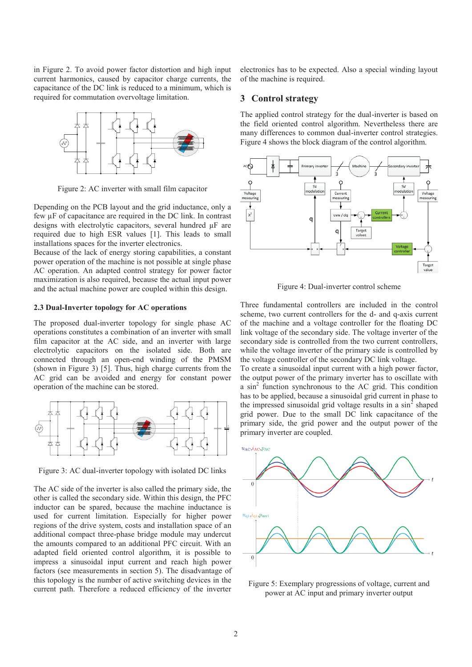in Figure 2. To avoid power factor distortion and high input current harmonics, caused by capacitor charge currents, the capacitance of the DC link is reduced to a minimum, which is required for commutation overvoltage limitation.



Figure 2: AC inverter with small film capacitor

Depending on the PCB layout and the grid inductance, only a few μF of capacitance are required in the DC link. In contrast designs with electrolytic capacitors, several hundred μF are required due to high ESR values [1]. This leads to small installations spaces for the inverter electronics.

Because of the lack of energy storing capabilities, a constant power operation of the machine is not possible at single phase AC operation. An adapted control strategy for power factor maximization is also required, because the actual input power and the actual machine power are coupled within this design.

#### **2.3 Dual-Inverter topology for AC operations**

The proposed dual-inverter topology for single phase AC operations constitutes a combination of an inverter with small film capacitor at the AC side, and an inverter with large electrolytic capacitors on the isolated side. Both are connected through an open-end winding of the PMSM (shown in Figure 3) [5]. Thus, high charge currents from the AC grid can be avoided and energy for constant power operation of the machine can be stored.



Figure 3: AC dual-inverter topology with isolated DC links

The AC side of the inverter is also called the primary side, the other is called the secondary side. Within this design, the PFC inductor can be spared, because the machine inductance is used for current limitation. Especially for higher power regions of the drive system, costs and installation space of an additional compact three-phase bridge module may undercut the amounts compared to an additional PFC circuit. With an adapted field oriented control algorithm, it is possible to impress a sinusoidal input current and reach high power factors (see measurements in section 5). The disadvantage of this topology is the number of active switching devices in the current path. Therefore a reduced efficiency of the inverter

electronics has to be expected. Also a special winding layout of the machine is required.

#### **3 Control strategy**

The applied control strategy for the dual-inverter is based on the field oriented control algorithm. Nevertheless there are many differences to common dual-inverter control strategies. Figure 4 shows the block diagram of the control algorithm.



Figure 4: Dual-inverter control scheme

Three fundamental controllers are included in the control scheme, two current controllers for the d- and q-axis current of the machine and a voltage controller for the floating DC link voltage of the secondary side. The voltage inverter of the secondary side is controlled from the two current controllers, while the voltage inverter of the primary side is controlled by the voltage controller of the secondary DC link voltage.

To create a sinusoidal input current with a high power factor, the output power of the primary inverter has to oscillate with a sin<sup>2</sup> function synchronous to the AC grid. This condition has to be applied, because a sinusoidal grid current in phase to the impressed sinusoidal grid voltage results in a  $\sin^2$  shaped grid power. Due to the small DC link capacitance of the primary side, the grid power and the output power of the primary inverter are coupled.



Figure 5: Exemplary progressions of voltage, current and power at AC input and primary inverter output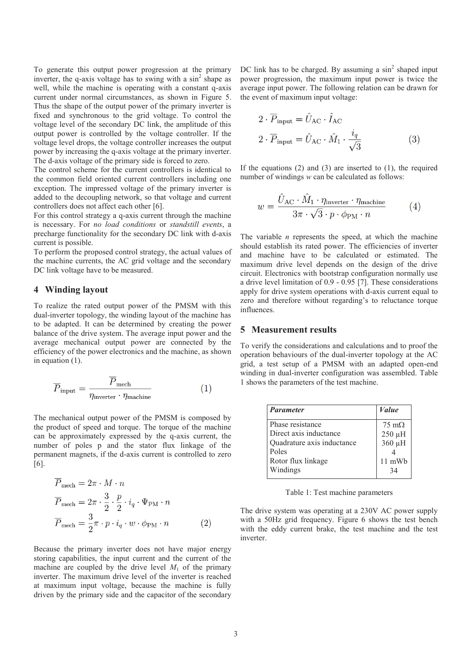To generate this output power progression at the primary inverter, the q-axis voltage has to swing with a  $\sin^2$  shape as well, while the machine is operating with a constant q-axis current under normal circumstances, as shown in Figure 5. Thus the shape of the output power of the primary inverter is fixed and synchronous to the grid voltage. To control the voltage level of the secondary DC link, the amplitude of this output power is controlled by the voltage controller. If the voltage level drops, the voltage controller increases the output power by increasing the q-axis voltage at the primary inverter. The d-axis voltage of the primary side is forced to zero.

The control scheme for the current controllers is identical to the common field oriented current controllers including one exception. The impressed voltage of the primary inverter is added to the decoupling network, so that voltage and current controllers does not affect each other [6].

For this control strategy a q-axis current through the machine is necessary. For *no load conditions* or *standstill events*, a precharge functionality for the secondary DC link with d-axis current is possible.

To perform the proposed control strategy, the actual values of the machine currents, the AC grid voltage and the secondary DC link voltage have to be measured.

## **4 Winding layout**

To realize the rated output power of the PMSM with this dual-inverter topology, the winding layout of the machine has to be adapted. It can be determined by creating the power balance of the drive system. The average input power and the average mechanical output power are connected by the efficiency of the power electronics and the machine, as shown in equation (1).

$$
\overline{P}_{\text{input}} = \frac{\overline{P}_{\text{mech}}}{\eta_{\text{inverter}} \cdot \eta_{\text{machine}}}
$$
(1)

The mechanical output power of the PMSM is composed by the product of speed and torque. The torque of the machine can be approximately expressed by the q-axis current, the number of poles p and the stator flux linkage of the permanent magnets, if the d-axis current is controlled to zero [6].

$$
\overline{P}_{\text{mech}} = 2\pi \cdot M \cdot n
$$
\n
$$
\overline{P}_{\text{mech}} = 2\pi \cdot \frac{3}{2} \cdot \frac{p}{2} \cdot i_q \cdot \Psi_{\text{PM}} \cdot n
$$
\n
$$
\overline{P}_{\text{mech}} = \frac{3}{2}\pi \cdot p \cdot i_q \cdot w \cdot \phi_{\text{PM}} \cdot n
$$
\n(2)

Because the primary inverter does not have major energy storing capabilities, the input current and the current of the machine are coupled by the drive level  $M_1$  of the primary inverter. The maximum drive level of the inverter is reached at maximum input voltage, because the machine is fully driven by the primary side and the capacitor of the secondary

DC link has to be charged. By assuming a  $\sin^2$  shaped input power progression, the maximum input power is twice the average input power. The following relation can be drawn for the event of maximum input voltage:

$$
2 \cdot \overline{P}_{\text{input}} = \hat{U}_{\text{AC}} \cdot \hat{I}_{\text{AC}}
$$

$$
2 \cdot \overline{P}_{\text{input}} = \hat{U}_{\text{AC}} \cdot \hat{M}_1 \cdot \frac{i_q}{\sqrt{3}} \tag{3}
$$

If the equations  $(2)$  and  $(3)$  are inserted to  $(1)$ , the required number of windings *w* can be calculated as follows:

$$
w = \frac{\hat{U}_{\text{AC}} \cdot \hat{M}_1 \cdot \eta_{\text{inverter}} \cdot \eta_{\text{machine}}}{3\pi \cdot \sqrt{3} \cdot p \cdot \phi_{\text{PM}} \cdot n}
$$
(4)

The variable *n* represents the speed, at which the machine should establish its rated power. The efficiencies of inverter and machine have to be calculated or estimated. The maximum drive level depends on the design of the drive circuit. Electronics with bootstrap configuration normally use a drive level limitation of 0.9 - 0.95 [7]. These considerations apply for drive system operations with d-axis current equal to zero and therefore without regarding's to reluctance torque influences.

## **5 Measurement results**

To verify the considerations and calculations and to proof the operation behaviours of the dual-inverter topology at the AC grid, a test setup of a PMSM with an adapted open-end winding in dual-inverter configuration was assembled. Table 1 shows the parameters of the test machine.

| <b>Parameter</b>           | <i>Value</i>    |
|----------------------------|-----------------|
| Phase resistance           | $75 \text{ mA}$ |
| Direct axis inductance     | $250 \mu H$     |
| Quadrature axis inductance | 360 µH          |
| Poles                      |                 |
| Rotor flux linkage         | 11 mWb          |
| Windings                   | 34              |

Table 1: Test machine parameters

The drive system was operating at a 230V AC power supply with a 50Hz grid frequency. Figure 6 shows the test bench with the eddy current brake, the test machine and the test inverter.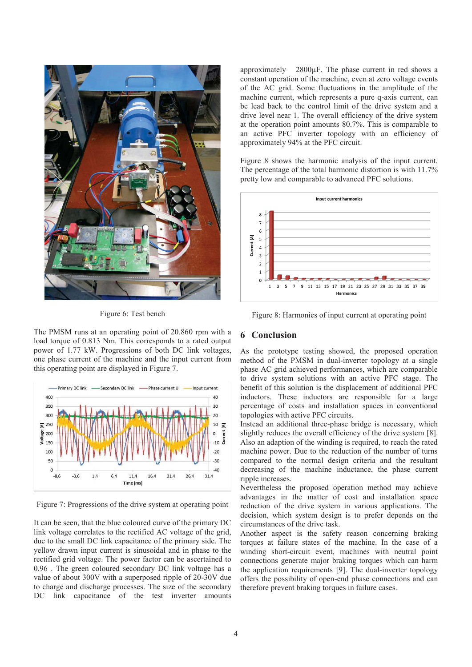

Figure 6: Test bench

The PMSM runs at an operating point of 20.860 rpm with a load torque of 0.813 Nm. This corresponds to a rated output power of 1.77 kW. Progressions of both DC link voltages, one phase current of the machine and the input current from this operating point are displayed in Figure 7.



Figure 7: Progressions of the drive system at operating point

It can be seen, that the blue coloured curve of the primary DC link voltage correlates to the rectified AC voltage of the grid, due to the small DC link capacitance of the primary side. The yellow drawn input current is sinusoidal and in phase to the rectified grid voltage. The power factor can be ascertained to 0.96 . The green coloured secondary DC link voltage has a value of about 300V with a superposed ripple of 20-30V due to charge and discharge processes. The size of the secondary DC link capacitance of the test inverter amounts

approximately 2800μF. The phase current in red shows a constant operation of the machine, even at zero voltage events of the AC grid. Some fluctuations in the amplitude of the machine current, which represents a pure q-axis current, can be lead back to the control limit of the drive system and a drive level near 1. The overall efficiency of the drive system at the operation point amounts 80.7%. This is comparable to an active PFC inverter topology with an efficiency of approximately 94% at the PFC circuit.

Figure 8 shows the harmonic analysis of the input current. The percentage of the total harmonic distortion is with 11.7% pretty low and comparable to advanced PFC solutions.



Figure 8: Harmonics of input current at operating point

### **6 Conclusion**

As the prototype testing showed, the proposed operation method of the PMSM in dual-inverter topology at a single phase AC grid achieved performances, which are comparable to drive system solutions with an active PFC stage. The benefit of this solution is the displacement of additional PFC inductors. These inductors are responsible for a large percentage of costs and installation spaces in conventional topologies with active PFC circuits.

Instead an additional three-phase bridge is necessary, which slightly reduces the overall efficiency of the drive system [8]. Also an adaption of the winding is required, to reach the rated machine power. Due to the reduction of the number of turns compared to the normal design criteria and the resultant decreasing of the machine inductance, the phase current ripple increases.

Nevertheless the proposed operation method may achieve advantages in the matter of cost and installation space reduction of the drive system in various applications. The decision, which system design is to prefer depends on the circumstances of the drive task.

Another aspect is the safety reason concerning braking torques at failure states of the machine. In the case of a winding short-circuit event, machines with neutral point connections generate major braking torques which can harm the application requirements [9]. The dual-inverter topology offers the possibility of open-end phase connections and can therefore prevent braking torques in failure cases.